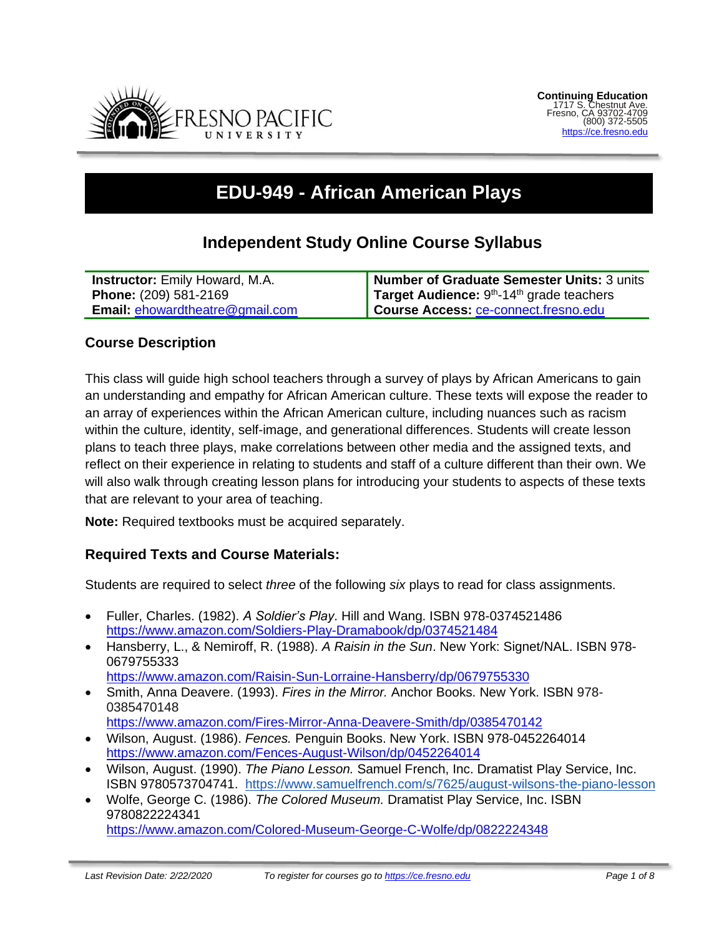

# **EDU-949 - African American Plays**

## **Independent Study Online Course Syllabus**

| <b>Instructor:</b> Emily Howard, M.A.  | Number of Graduate Semester Units: 3 units                     |
|----------------------------------------|----------------------------------------------------------------|
| <b>Phone: (209) 581-2169</b>           | <b>Target Audience:</b> $9th$ -14 <sup>th</sup> grade teachers |
| <b>Email: ehowardtheatre@gmail.com</b> | Course Access: ce-connect.fresno.edu                           |

## **Course Description**

This class will guide high school teachers through a survey of plays by African Americans to gain an understanding and empathy for African American culture. These texts will expose the reader to an array of experiences within the African American culture, including nuances such as racism within the culture, identity, self-image, and generational differences. Students will create lesson plans to teach three plays, make correlations between other media and the assigned texts, and reflect on their experience in relating to students and staff of a culture different than their own. We will also walk through creating lesson plans for introducing your students to aspects of these texts that are relevant to your area of teaching.

**Note:** Required textbooks must be acquired separately.

#### **Required Texts and Course Materials:**

Students are required to select *three* of the following *six* plays to read for class assignments.

- Fuller, Charles. (1982). *A Soldier's Play*. Hill and Wang. ISBN 978-0374521486 <https://www.amazon.com/Soldiers-Play-Dramabook/dp/0374521484>
- Hansberry, L., & Nemiroff, R. (1988). *A Raisin in the Sun*. New York: Signet/NAL. ISBN 978- 0679755333

<https://www.amazon.com/Raisin-Sun-Lorraine-Hansberry/dp/0679755330>

• Smith, Anna Deavere. (1993). *Fires in the Mirror.* Anchor Books. New York. ISBN 978- 0385470148

<https://www.amazon.com/Fires-Mirror-Anna-Deavere-Smith/dp/0385470142>

- Wilson, August. (1986). *Fences.* Penguin Books. New York. ISBN 978-0452264014 <https://www.amazon.com/Fences-August-Wilson/dp/0452264014>
- Wilson, August. (1990). *The Piano Lesson.* Samuel French, Inc. Dramatist Play Service, Inc. ISBN 9780573704741. <https://www.samuelfrench.com/s/7625/august-wilsons-the-piano-lesson>
- Wolfe, George C. (1986). *The Colored Museum.* Dramatist Play Service, Inc. ISBN 9780822224341 <https://www.amazon.com/Colored-Museum-George-C-Wolfe/dp/0822224348>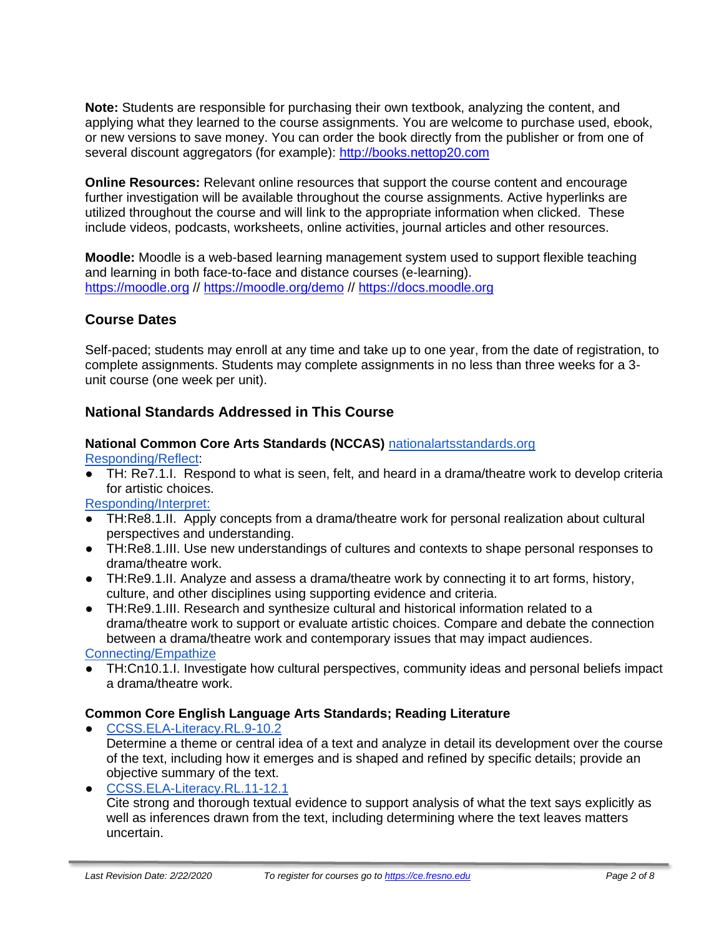**Note:** Students are responsible for purchasing their own textbook, analyzing the content, and applying what they learned to the course assignments. You are welcome to purchase used, ebook, or new versions to save money. You can order the book directly from the publisher or from one of several discount aggregators (for example): [http://books.nettop20.com](http://books.nettop20.com/)

**Online Resources:** Relevant online resources that support the course content and encourage further investigation will be available throughout the course assignments. Active hyperlinks are utilized throughout the course and will link to the appropriate information when clicked. These include videos, podcasts, worksheets, online activities, journal articles and other resources.

**Moodle:** Moodle is a web-based learning management system used to support flexible teaching and learning in both face-to-face and distance courses (e-learning). [https://moodle.org](https://moodle.org/) //<https://moodle.org/demo> // [https://docs.moodle.org](https://docs.moodle.org/)

## **Course Dates**

Self-paced; students may enroll at any time and take up to one year, from the date of registration, to complete assignments. Students may complete assignments in no less than three weeks for a 3 unit course (one week per unit).

## **National Standards Addressed in This Course**

## **National Common Core Arts Standards (NCCAS)** [nationalartsstandards.org](https://www.nationalartsstandards.org/)

[Responding/Reflect:](http://www.nationalartsstandards.org/sites/default/files/Theatre%20at%20a%20Glance%20-%20new%20copyright%20info.pdf)

TH: Re7.1.I. Respond to what is seen, felt, and heard in a drama/theatre work to develop criteria for artistic choices.

[Responding/Interpret:](http://www.nationalartsstandards.org/sites/default/files/Theatre%20at%20a%20Glance%20-%20new%20copyright%20info.pdf)

- TH:Re8.1.II. Apply concepts from a drama/theatre work for personal realization about cultural perspectives and understanding.
- TH:Re8.1.III. Use new understandings of cultures and contexts to shape personal responses to drama/theatre work.
- TH:Re9.1.II. Analyze and assess a drama/theatre work by connecting it to art forms, history, culture, and other disciplines using supporting evidence and criteria.
- TH:Re9.1.III. Research and synthesize cultural and historical information related to a drama/theatre work to support or evaluate artistic choices. Compare and debate the connection between a drama/theatre work and contemporary issues that may impact audiences.

[Connecting/Empathize](http://www.nationalartsstandards.org/sites/default/files/Theatre%20at%20a%20Glance%20-%20new%20copyright%20info.pdf)

TH:Cn10.1.I. Investigate how cultural perspectives, community ideas and personal beliefs impact a drama/theatre work.

## **Common Core English Language Arts Standards; Reading Literature**

- [CCSS.ELA-Literacy.RL.9-10.2](http://www.corestandards.org/ELA-Literacy/RL/9-10/2/) Determine a theme or central idea of a text and analyze in detail its development over the course of the text, including how it emerges and is shaped and refined by specific details; provide an objective summary of the text.
- [CCSS.ELA-Literacy.RL.11-12.1](http://www.corestandards.org/ELA-Literacy/RL/11-12/1/) Cite strong and thorough textual evidence to support analysis of what the text says explicitly as well as inferences drawn from the text, including determining where the text leaves matters uncertain.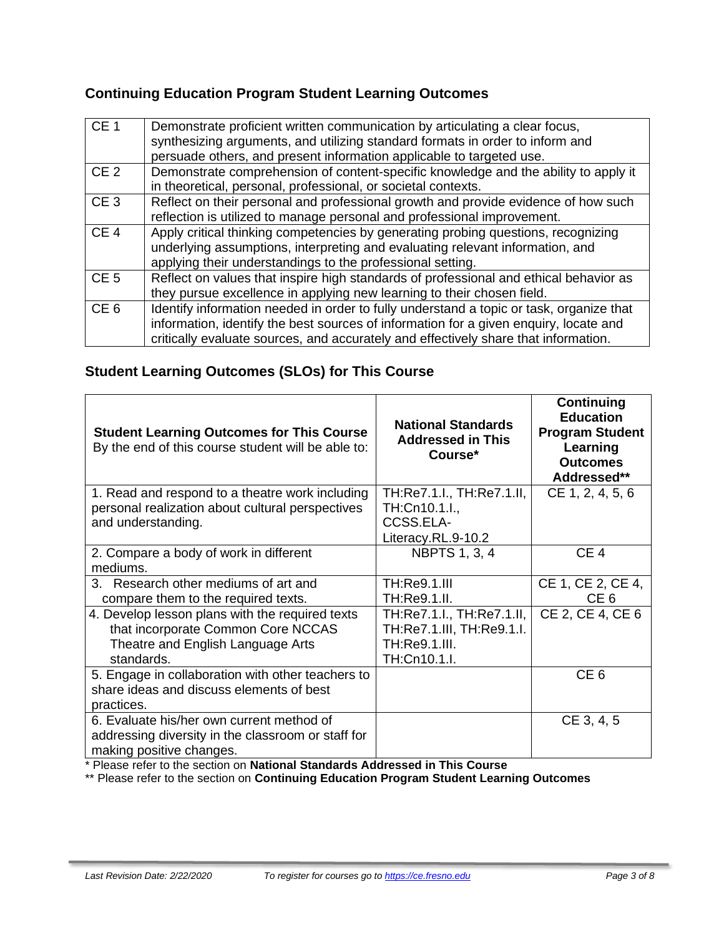## **Continuing Education Program Student Learning Outcomes**

| CE <sub>1</sub> | Demonstrate proficient written communication by articulating a clear focus,<br>synthesizing arguments, and utilizing standard formats in order to inform and<br>persuade others, and present information applicable to targeted use.                                    |
|-----------------|-------------------------------------------------------------------------------------------------------------------------------------------------------------------------------------------------------------------------------------------------------------------------|
| CE <sub>2</sub> | Demonstrate comprehension of content-specific knowledge and the ability to apply it<br>in theoretical, personal, professional, or societal contexts.                                                                                                                    |
| CE <sub>3</sub> | Reflect on their personal and professional growth and provide evidence of how such<br>reflection is utilized to manage personal and professional improvement.                                                                                                           |
| CE <sub>4</sub> | Apply critical thinking competencies by generating probing questions, recognizing<br>underlying assumptions, interpreting and evaluating relevant information, and<br>applying their understandings to the professional setting.                                        |
| CE <sub>5</sub> | Reflect on values that inspire high standards of professional and ethical behavior as<br>they pursue excellence in applying new learning to their chosen field.                                                                                                         |
| CE <sub>6</sub> | Identify information needed in order to fully understand a topic or task, organize that<br>information, identify the best sources of information for a given enquiry, locate and<br>critically evaluate sources, and accurately and effectively share that information. |

## **Student Learning Outcomes (SLOs) for This Course**

| <b>Student Learning Outcomes for This Course</b><br>By the end of this course student will be able to:                                   | <b>National Standards</b><br><b>Addressed in This</b><br>Course*                        | Continuing<br><b>Education</b><br><b>Program Student</b><br>Learning<br><b>Outcomes</b><br>Addressed** |
|------------------------------------------------------------------------------------------------------------------------------------------|-----------------------------------------------------------------------------------------|--------------------------------------------------------------------------------------------------------|
| 1. Read and respond to a theatre work including<br>personal realization about cultural perspectives                                      | TH:Re7.1.I., TH:Re7.1.II,<br>TH:Cn10.1.I.,                                              | CE 1, 2, 4, 5, 6                                                                                       |
| and understanding.                                                                                                                       | CCSS.ELA-                                                                               |                                                                                                        |
|                                                                                                                                          | Literacy.RL.9-10.2                                                                      |                                                                                                        |
| 2. Compare a body of work in different<br>mediums.                                                                                       | <b>NBPTS 1, 3, 4</b>                                                                    | CE <sub>4</sub>                                                                                        |
| 3. Research other mediums of art and<br>compare them to the required texts.                                                              | <b>TH:Re9.1.III</b><br>TH:Re9.1.II.                                                     | CE 1, CE 2, CE 4,<br>CE <sub>6</sub>                                                                   |
| 4. Develop lesson plans with the required texts<br>that incorporate Common Core NCCAS<br>Theatre and English Language Arts<br>standards. | TH:Re7.1.I., TH:Re7.1.II,<br>TH:Re7.1.III, TH:Re9.1.I.<br>TH:Re9.1.III.<br>TH:Cn10.1.I. | CE 2, CE 4, CE 6                                                                                       |
| 5. Engage in collaboration with other teachers to<br>share ideas and discuss elements of best<br>practices.                              |                                                                                         | CE <sub>6</sub>                                                                                        |
| 6. Evaluate his/her own current method of<br>addressing diversity in the classroom or staff for<br>making positive changes.              |                                                                                         | CE 3, 4, 5                                                                                             |

\* Please refer to the section on **National Standards Addressed in This Course**

\*\* Please refer to the section on **Continuing Education Program Student Learning Outcomes**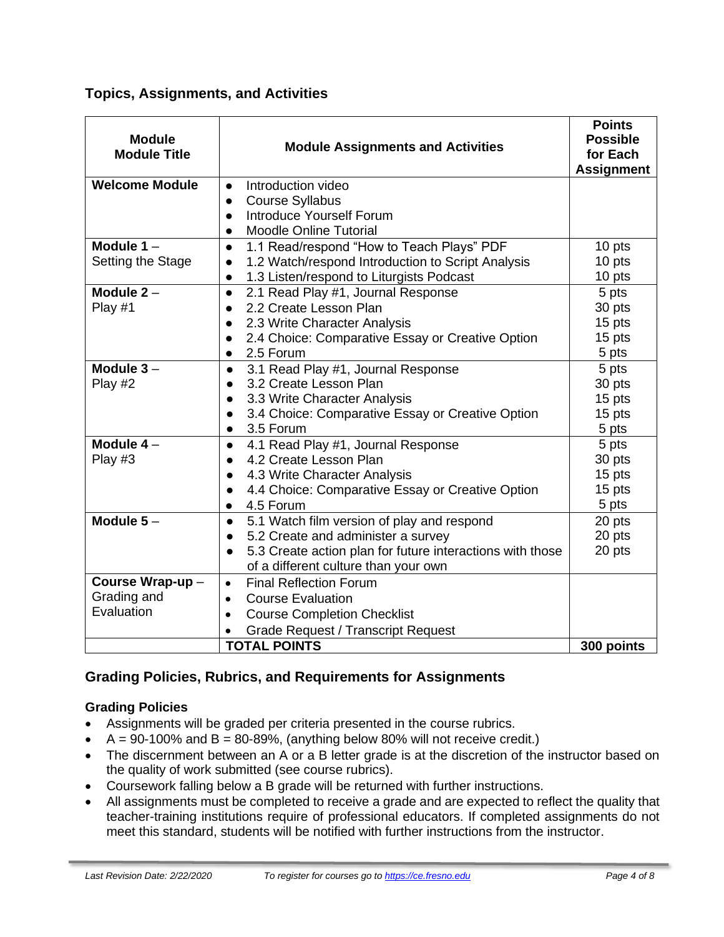**Topics, Assignments, and Activities**

| <b>Module</b><br><b>Module Title</b> | <b>Module Assignments and Activities</b>                                                                     | <b>Points</b><br><b>Possible</b><br>for Each<br><b>Assignment</b> |  |
|--------------------------------------|--------------------------------------------------------------------------------------------------------------|-------------------------------------------------------------------|--|
| <b>Welcome Module</b>                | Introduction video                                                                                           |                                                                   |  |
|                                      | <b>Course Syllabus</b>                                                                                       |                                                                   |  |
|                                      | <b>Introduce Yourself Forum</b>                                                                              |                                                                   |  |
|                                      | <b>Moodle Online Tutorial</b><br>$\bullet$                                                                   |                                                                   |  |
| Module $1 -$                         | 1.1 Read/respond "How to Teach Plays" PDF<br>$\bullet$                                                       | 10 pts                                                            |  |
| Setting the Stage                    | 1.2 Watch/respond Introduction to Script Analysis                                                            | 10 pts                                                            |  |
|                                      | 1.3 Listen/respond to Liturgists Podcast<br>$\bullet$                                                        | 10 pts                                                            |  |
| Module $2 -$                         | 2.1 Read Play #1, Journal Response<br>$\bullet$                                                              | 5 pts                                                             |  |
| Play #1                              | 2.2 Create Lesson Plan                                                                                       | 30 pts                                                            |  |
|                                      | 2.3 Write Character Analysis                                                                                 | 15 pts                                                            |  |
|                                      | 2.4 Choice: Comparative Essay or Creative Option                                                             | 15 pts                                                            |  |
|                                      | 2.5 Forum<br>$\bullet$                                                                                       | 5 pts                                                             |  |
| Module $3 -$                         | 3.1 Read Play #1, Journal Response<br>$\bullet$                                                              | 5 pts                                                             |  |
| Play #2                              | 3.2 Create Lesson Plan                                                                                       | 30 pts                                                            |  |
|                                      | 3.3 Write Character Analysis                                                                                 | 15 pts                                                            |  |
|                                      | 3.4 Choice: Comparative Essay or Creative Option                                                             | 15 pts                                                            |  |
|                                      | 3.5 Forum                                                                                                    | 5 pts                                                             |  |
| Module $4-$                          | 4.1 Read Play #1, Journal Response<br>$\bullet$                                                              | 5 pts                                                             |  |
| Play #3                              | 4.2 Create Lesson Plan                                                                                       | 30 pts                                                            |  |
|                                      | 4.3 Write Character Analysis                                                                                 | 15 pts                                                            |  |
|                                      | 4.4 Choice: Comparative Essay or Creative Option                                                             | 15 pts                                                            |  |
| Module $5-$                          | 4.5 Forum<br>$\bullet$                                                                                       | 5 pts                                                             |  |
|                                      | 5.1 Watch film version of play and respond<br>$\bullet$                                                      | 20 pts<br>20 pts                                                  |  |
|                                      | 5.2 Create and administer a survey<br>$\bullet$<br>5.3 Create action plan for future interactions with those | 20 pts                                                            |  |
|                                      | $\bullet$<br>of a different culture than your own                                                            |                                                                   |  |
| Course Wrap-up-                      | <b>Final Reflection Forum</b>                                                                                |                                                                   |  |
| Grading and                          | $\bullet$<br><b>Course Evaluation</b>                                                                        |                                                                   |  |
| Evaluation                           | $\bullet$                                                                                                    |                                                                   |  |
|                                      | <b>Course Completion Checklist</b><br>$\bullet$                                                              |                                                                   |  |
|                                      | <b>Grade Request / Transcript Request</b>                                                                    |                                                                   |  |
| <b>TOTAL POINTS</b><br>300 points    |                                                                                                              |                                                                   |  |

## **Grading Policies, Rubrics, and Requirements for Assignments**

## **Grading Policies**

- Assignments will be graded per criteria presented in the course rubrics.
- $A = 90-100\%$  and  $B = 80-89\%$ , (anything below 80% will not receive credit.)
- The discernment between an A or a B letter grade is at the discretion of the instructor based on the quality of work submitted (see course rubrics).
- Coursework falling below a B grade will be returned with further instructions.
- All assignments must be completed to receive a grade and are expected to reflect the quality that teacher-training institutions require of professional educators. If completed assignments do not meet this standard, students will be notified with further instructions from the instructor.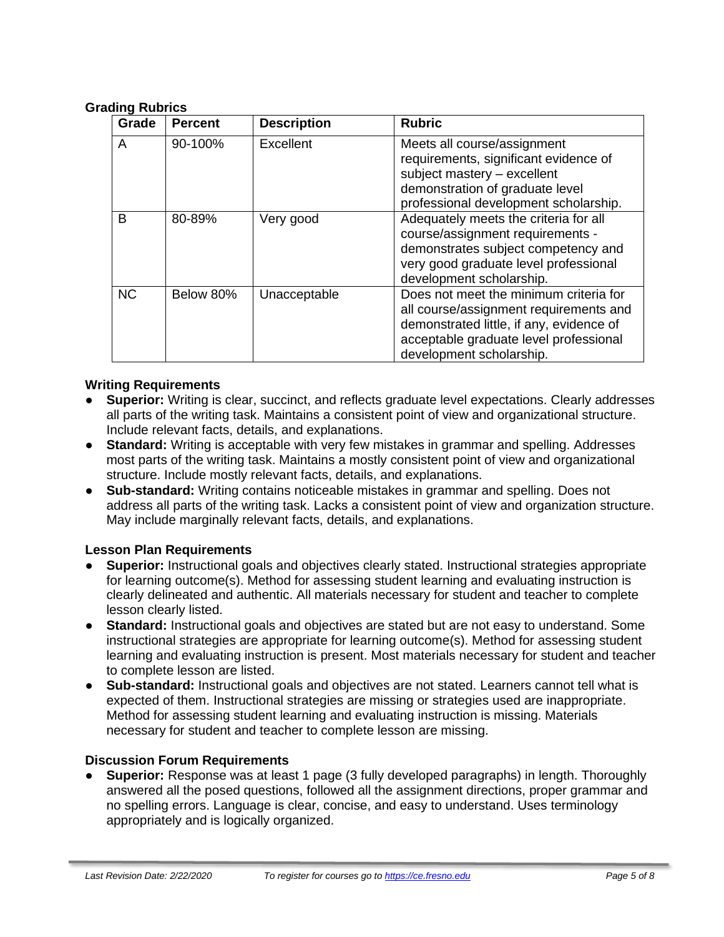#### **Grading Rubrics**

| Grade     | <b>Percent</b> | <b>Description</b> | <b>Rubric</b>                                                                                                                                                                                      |
|-----------|----------------|--------------------|----------------------------------------------------------------------------------------------------------------------------------------------------------------------------------------------------|
| A         | 90-100%        | Excellent          | Meets all course/assignment<br>requirements, significant evidence of<br>subject mastery - excellent<br>demonstration of graduate level<br>professional development scholarship.                    |
| в         | 80-89%         | Very good          | Adequately meets the criteria for all<br>course/assignment requirements -<br>demonstrates subject competency and<br>very good graduate level professional<br>development scholarship.              |
| <b>NC</b> | Below 80%      | Unacceptable       | Does not meet the minimum criteria for<br>all course/assignment requirements and<br>demonstrated little, if any, evidence of<br>acceptable graduate level professional<br>development scholarship. |

#### **Writing Requirements**

- **Superior:** Writing is clear, succinct, and reflects graduate level expectations. Clearly addresses all parts of the writing task. Maintains a consistent point of view and organizational structure. Include relevant facts, details, and explanations.
- **Standard:** Writing is acceptable with very few mistakes in grammar and spelling. Addresses most parts of the writing task. Maintains a mostly consistent point of view and organizational structure. Include mostly relevant facts, details, and explanations.
- **Sub-standard:** Writing contains noticeable mistakes in grammar and spelling. Does not address all parts of the writing task. Lacks a consistent point of view and organization structure. May include marginally relevant facts, details, and explanations.

#### **Lesson Plan Requirements**

- **Superior:** Instructional goals and objectives clearly stated. Instructional strategies appropriate for learning outcome(s). Method for assessing student learning and evaluating instruction is clearly delineated and authentic. All materials necessary for student and teacher to complete lesson clearly listed.
- **Standard:** Instructional goals and objectives are stated but are not easy to understand. Some instructional strategies are appropriate for learning outcome(s). Method for assessing student learning and evaluating instruction is present. Most materials necessary for student and teacher to complete lesson are listed.
- **Sub-standard:** Instructional goals and objectives are not stated. Learners cannot tell what is expected of them. Instructional strategies are missing or strategies used are inappropriate. Method for assessing student learning and evaluating instruction is missing. Materials necessary for student and teacher to complete lesson are missing.

#### **Discussion Forum Requirements**

● **Superior:** Response was at least 1 page (3 fully developed paragraphs) in length. Thoroughly answered all the posed questions, followed all the assignment directions, proper grammar and no spelling errors. Language is clear, concise, and easy to understand. Uses terminology appropriately and is logically organized.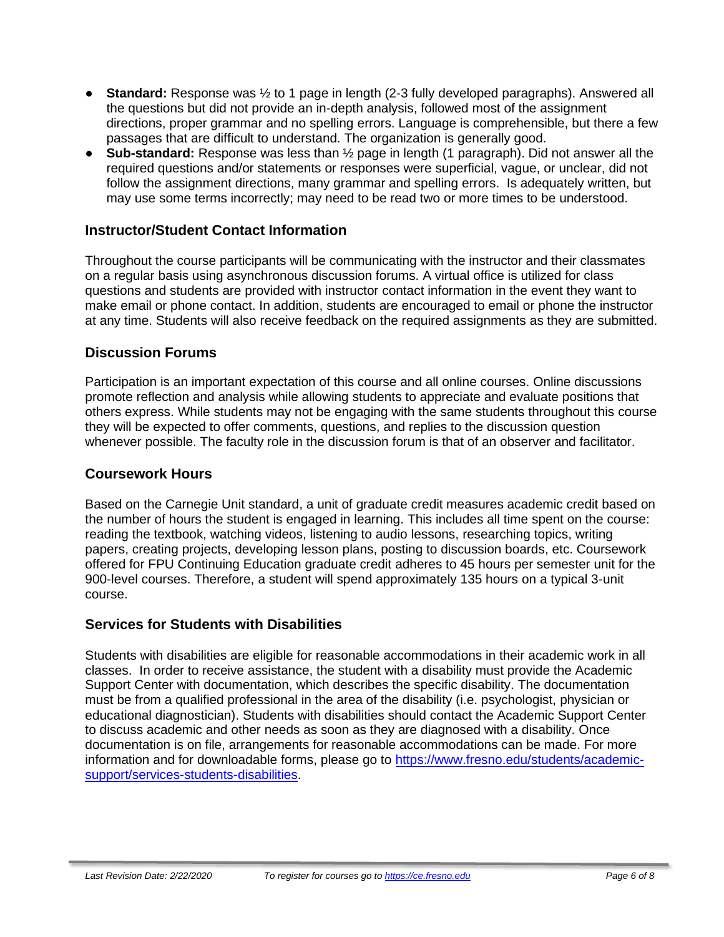- **Standard:** Response was ½ to 1 page in length (2-3 fully developed paragraphs). Answered all the questions but did not provide an in-depth analysis, followed most of the assignment directions, proper grammar and no spelling errors. Language is comprehensible, but there a few passages that are difficult to understand. The organization is generally good.
- **Sub-standard:** Response was less than ½ page in length (1 paragraph). Did not answer all the required questions and/or statements or responses were superficial, vague, or unclear, did not follow the assignment directions, many grammar and spelling errors. Is adequately written, but may use some terms incorrectly; may need to be read two or more times to be understood.

## **Instructor/Student Contact Information**

Throughout the course participants will be communicating with the instructor and their classmates on a regular basis using asynchronous discussion forums. A virtual office is utilized for class questions and students are provided with instructor contact information in the event they want to make email or phone contact. In addition, students are encouraged to email or phone the instructor at any time. Students will also receive feedback on the required assignments as they are submitted.

#### **Discussion Forums**

Participation is an important expectation of this course and all online courses. Online discussions promote reflection and analysis while allowing students to appreciate and evaluate positions that others express. While students may not be engaging with the same students throughout this course they will be expected to offer comments, questions, and replies to the discussion question whenever possible. The faculty role in the discussion forum is that of an observer and facilitator.

#### **Coursework Hours**

Based on the Carnegie Unit standard, a unit of graduate credit measures academic credit based on the number of hours the student is engaged in learning. This includes all time spent on the course: reading the textbook, watching videos, listening to audio lessons, researching topics, writing papers, creating projects, developing lesson plans, posting to discussion boards, etc. Coursework offered for FPU Continuing Education graduate credit adheres to 45 hours per semester unit for the 900-level courses. Therefore, a student will spend approximately 135 hours on a typical 3-unit course.

## **Services for Students with Disabilities**

Students with disabilities are eligible for reasonable accommodations in their academic work in all classes. In order to receive assistance, the student with a disability must provide the Academic Support Center with documentation, which describes the specific disability. The documentation must be from a qualified professional in the area of the disability (i.e. psychologist, physician or educational diagnostician). Students with disabilities should contact the Academic Support Center to discuss academic and other needs as soon as they are diagnosed with a disability. Once documentation is on file, arrangements for reasonable accommodations can be made. For more information and for downloadable forms, please go to [https://www.fresno.edu/students/academic](https://www.fresno.edu/students/academic-support/services-students-disabilities)[support/services-students-disabilities.](https://www.fresno.edu/students/academic-support/services-students-disabilities)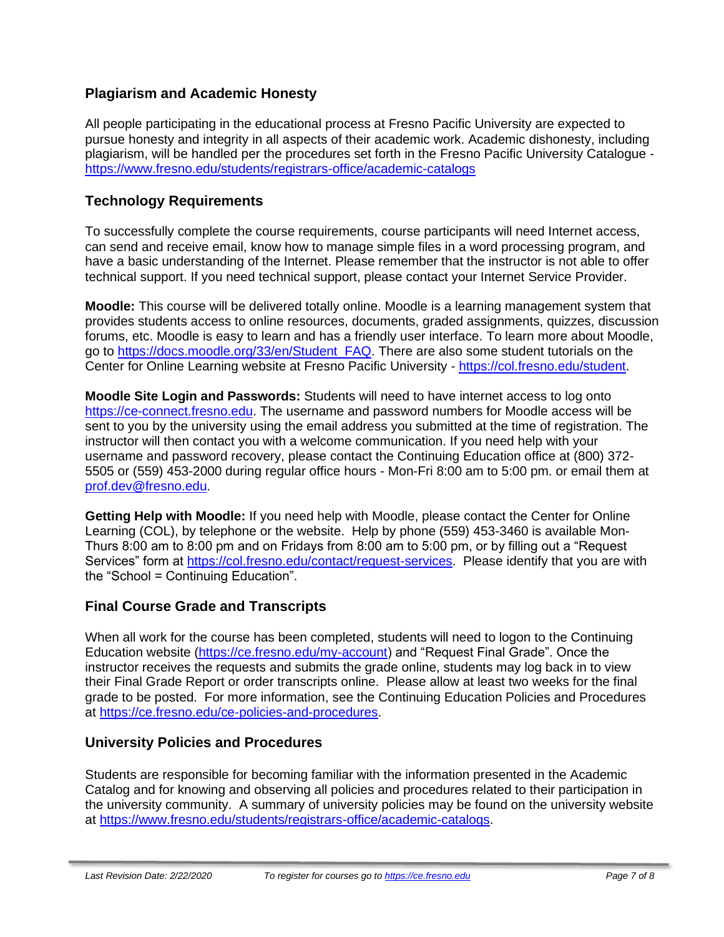## **Plagiarism and Academic Honesty**

All people participating in the educational process at Fresno Pacific University are expected to pursue honesty and integrity in all aspects of their academic work. Academic dishonesty, including plagiarism, will be handled per the procedures set forth in the Fresno Pacific University Catalogue <https://www.fresno.edu/students/registrars-office/academic-catalogs>

## **Technology Requirements**

To successfully complete the course requirements, course participants will need Internet access, can send and receive email, know how to manage simple files in a word processing program, and have a basic understanding of the Internet. Please remember that the instructor is not able to offer technical support. If you need technical support, please contact your Internet Service Provider.

**Moodle:** This course will be delivered totally online. Moodle is a learning management system that provides students access to online resources, documents, graded assignments, quizzes, discussion forums, etc. Moodle is easy to learn and has a friendly user interface. To learn more about Moodle, go to [https://docs.moodle.org/33/en/Student\\_FAQ.](https://docs.moodle.org/33/en/Student_FAQ) There are also some student tutorials on the Center for Online Learning website at Fresno Pacific University - [https://col.fresno.edu/student.](https://col.fresno.edu/student)

**Moodle Site Login and Passwords:** Students will need to have internet access to log onto [https://ce-connect.fresno.edu.](https://ce-connect.fresno.edu/) The username and password numbers for Moodle access will be sent to you by the university using the email address you submitted at the time of registration. The instructor will then contact you with a welcome communication. If you need help with your username and password recovery, please contact the Continuing Education office at (800) 372- 5505 or (559) 453-2000 during regular office hours - Mon-Fri 8:00 am to 5:00 pm. or email them at [prof.dev@fresno.edu.](mailto:prof.dev@fresno.edu)

**Getting Help with Moodle:** If you need help with Moodle, please contact the Center for Online Learning (COL), by telephone or the website. Help by phone (559) 453-3460 is available Mon-Thurs 8:00 am to 8:00 pm and on Fridays from 8:00 am to 5:00 pm, or by filling out a "Request Services" form at [https://col.fresno.edu/contact/request-services.](https://col.fresno.edu/contact/request-services) Please identify that you are with the "School = Continuing Education".

## **Final Course Grade and Transcripts**

When all work for the course has been completed, students will need to logon to the Continuing Education website [\(https://ce.fresno.edu/my-account\)](https://ce.fresno.edu/my-account) and "Request Final Grade". Once the instructor receives the requests and submits the grade online, students may log back in to view their Final Grade Report or order transcripts online. Please allow at least two weeks for the final grade to be posted. For more information, see the Continuing Education Policies and Procedures at [https://ce.fresno.edu/ce-policies-and-procedures.](https://ce.fresno.edu/ce-policies-and-procedures)

## **University Policies and Procedures**

Students are responsible for becoming familiar with the information presented in the Academic Catalog and for knowing and observing all policies and procedures related to their participation in the university community. A summary of university policies may be found on the university website at [https://www.fresno.edu/students/registrars-office/academic-catalogs.](https://www.fresno.edu/students/registrars-office/academic-catalogs)